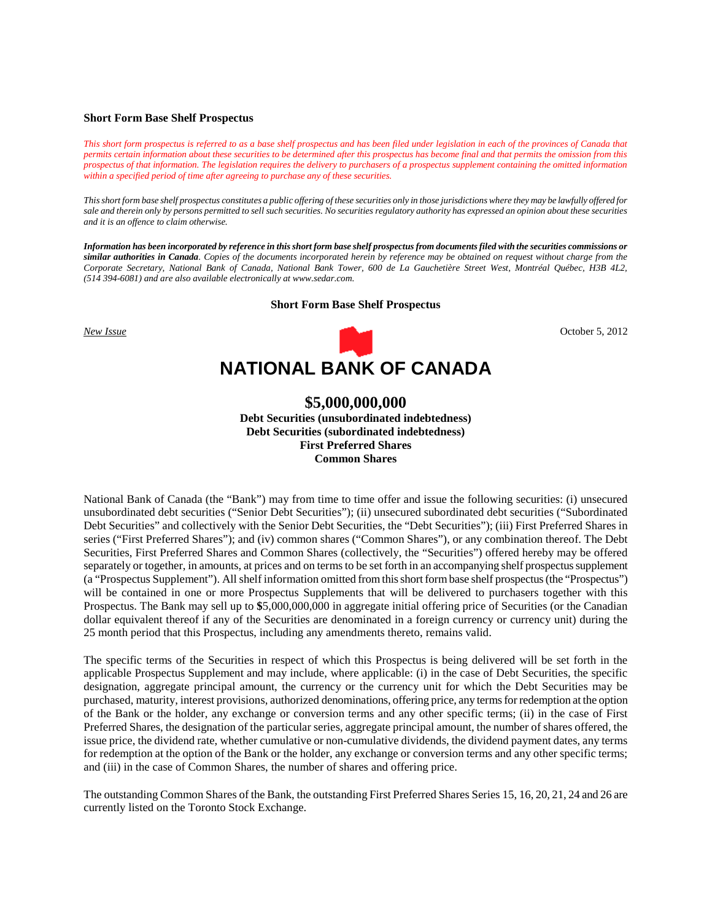#### **Short Form Base Shelf Prospectus**

*This short form prospectus is referred to as a base shelf prospectus and has been filed under legislation in each of the provinces of Canada that permits certain information about these securities to be determined after this prospectus has become final and that permits the omission from this prospectus of that information. The legislation requires the delivery to purchasers of a prospectus supplement containing the omitted information within a specified period of time after agreeing to purchase any of these securities.*

*This short form base shelf prospectus constitutes a public offering of these securities only in those jurisdictions where they may be lawfully offered for sale and therein only by persons permitted to sell such securities. No securities regulatory authority has expressed an opinion about these securities and it is an offence to claim otherwise.*

*Information has been incorporated by reference in this short form base shelf prospectus from documents filed with the securities commissions or similar authorities in Canada. Copies of the documents incorporated herein by reference may be obtained on request without charge from the Corporate Secretary, National Bank of Canada, National Bank Tower, 600 de La Gauchetière Street West, Montréal Québec, H3B 4L2, (514 394-6081) and are also available electronically at www.sedar.com.*

#### **Short Form Base Shelf Prospectus**



# **\$5,000,000,000 Debt Securities (unsubordinated indebtedness)**

**Debt Securities (subordinated indebtedness) First Preferred Shares Common Shares**

National Bank of Canada (the "Bank") may from time to time offer and issue the following securities: (i) unsecured unsubordinated debt securities ("Senior Debt Securities"); (ii) unsecured subordinated debt securities ("Subordinated Debt Securities" and collectively with the Senior Debt Securities, the "Debt Securities"); (iii) First Preferred Shares in series ("First Preferred Shares"); and (iv) common shares ("Common Shares"), or any combination thereof. The Debt Securities, First Preferred Shares and Common Shares (collectively, the "Securities") offered hereby may be offered separately or together, in amounts, at prices and on terms to be set forth in an accompanying shelf prospectus supplement (a "Prospectus Supplement"). All shelf information omitted from this short form base shelf prospectus (the "Prospectus") will be contained in one or more Prospectus Supplements that will be delivered to purchasers together with this Prospectus. The Bank may sell up to **\$**5,000,000,000 in aggregate initial offering price of Securities (or the Canadian dollar equivalent thereof if any of the Securities are denominated in a foreign currency or currency unit) during the 25 month period that this Prospectus, including any amendments thereto, remains valid.

The specific terms of the Securities in respect of which this Prospectus is being delivered will be set forth in the applicable Prospectus Supplement and may include, where applicable: (i) in the case of Debt Securities, the specific designation, aggregate principal amount, the currency or the currency unit for which the Debt Securities may be purchased, maturity, interest provisions, authorized denominations, offering price, any terms for redemption at the option of the Bank or the holder, any exchange or conversion terms and any other specific terms; (ii) in the case of First Preferred Shares, the designation of the particular series, aggregate principal amount, the number of shares offered, the issue price, the dividend rate, whether cumulative or non-cumulative dividends, the dividend payment dates, any terms for redemption at the option of the Bank or the holder, any exchange or conversion terms and any other specific terms; and (iii) in the case of Common Shares, the number of shares and offering price.

The outstanding Common Shares of the Bank, the outstanding First Preferred Shares Series 15, 16, 20, 21, 24 and 26 are currently listed on the Toronto Stock Exchange.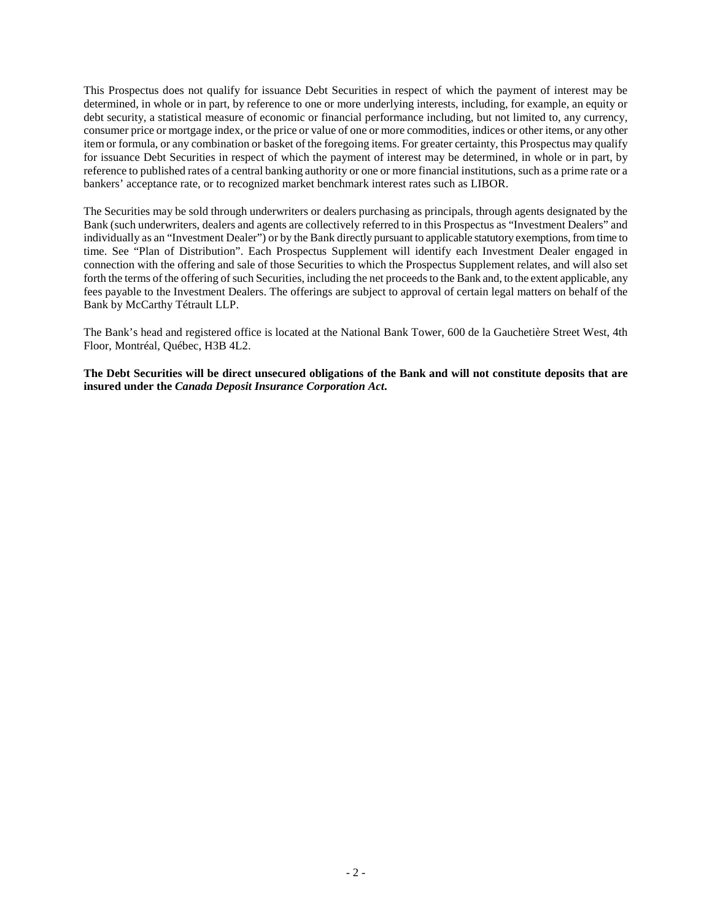This Prospectus does not qualify for issuance Debt Securities in respect of which the payment of interest may be determined, in whole or in part, by reference to one or more underlying interests, including, for example, an equity or debt security, a statistical measure of economic or financial performance including, but not limited to, any currency, consumer price or mortgage index, or the price or value of one or more commodities, indices or other items, or any other item or formula, or any combination or basket of the foregoing items. For greater certainty, this Prospectus may qualify for issuance Debt Securities in respect of which the payment of interest may be determined, in whole or in part, by reference to published rates of a central banking authority or one or more financial institutions, such as a prime rate or a bankers' acceptance rate, or to recognized market benchmark interest rates such as LIBOR.

The Securities may be sold through underwriters or dealers purchasing as principals, through agents designated by the Bank (such underwriters, dealers and agents are collectively referred to in this Prospectus as "Investment Dealers" and individually as an "Investment Dealer") or by the Bank directly pursuant to applicable statutory exemptions, from time to time. See "Plan of Distribution". Each Prospectus Supplement will identify each Investment Dealer engaged in connection with the offering and sale of those Securities to which the Prospectus Supplement relates, and will also set forth the terms of the offering of such Securities, including the net proceeds to the Bank and, to the extent applicable, any fees payable to the Investment Dealers. The offerings are subject to approval of certain legal matters on behalf of the Bank by McCarthy Tétrault LLP.

The Bank's head and registered office is located at the National Bank Tower, 600 de la Gauchetière Street West, 4th Floor, Montréal, Québec, H3B 4L2.

**The Debt Securities will be direct unsecured obligations of the Bank and will not constitute deposits that are insured under the** *Canada Deposit Insurance Corporation Act***.**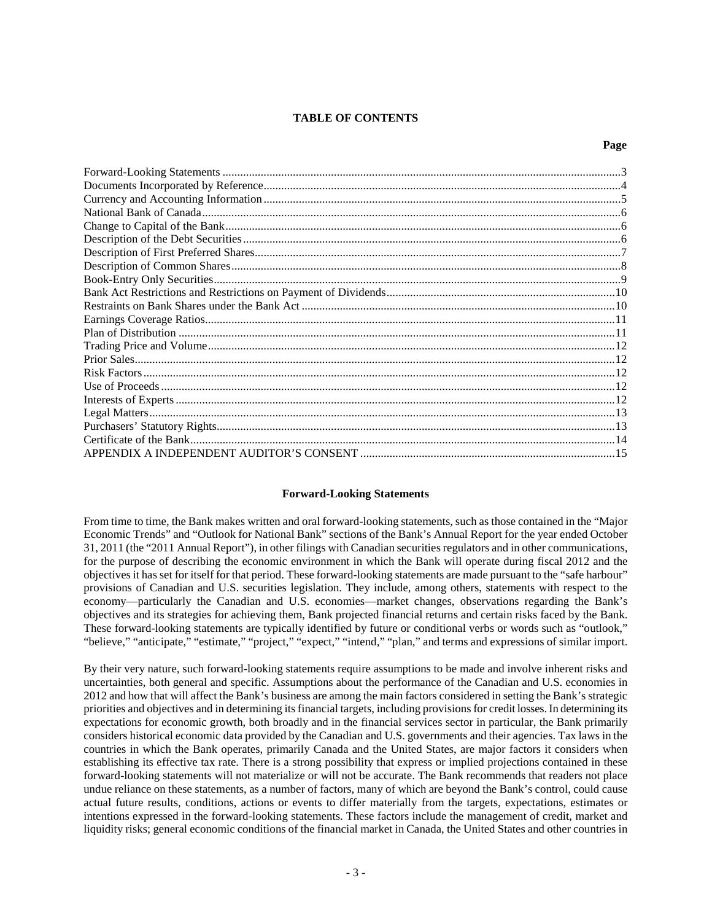#### **TABLE OF CONTENTS**

#### **Page**

#### <span id="page-2-0"></span>**Forward-Looking Statements**

From time to time, the Bank makes written and oral forward-looking statements, such as those contained in the "Major Economic Trends" and "Outlook for National Bank" sections of the Bank's Annual Report for the year ended October 31, 2011 (the "2011 Annual Report"), in other filings with Canadian securities regulators and in other communications, for the purpose of describing the economic environment in which the Bank will operate during fiscal 2012 and the objectives it has set for itself for that period. These forward-looking statements are made pursuant to the "safe harbour" provisions of Canadian and U.S. securities legislation. They include, among others, statements with respect to the economy—particularly the Canadian and U.S. economies—market changes, observations regarding the Bank's objectives and its strategies for achieving them, Bank projected financial returns and certain risks faced by the Bank. These forward-looking statements are typically identified by future or conditional verbs or words such as "outlook," "believe," "anticipate," "estimate," "project," "expect," "intend," "plan," and terms and expressions of similar import.

By their very nature, such forward-looking statements require assumptions to be made and involve inherent risks and uncertainties, both general and specific. Assumptions about the performance of the Canadian and U.S. economies in 2012 and how that will affect the Bank's business are among the main factors considered in setting the Bank's strategic priorities and objectives and in determining its financial targets, including provisions for credit losses. In determining its expectations for economic growth, both broadly and in the financial services sector in particular, the Bank primarily considers historical economic data provided by the Canadian and U.S. governments and their agencies. Tax laws in the countries in which the Bank operates, primarily Canada and the United States, are major factors it considers when establishing its effective tax rate. There is a strong possibility that express or implied projections contained in these forward-looking statements will not materialize or will not be accurate. The Bank recommends that readers not place undue reliance on these statements, as a number of factors, many of which are beyond the Bank's control, could cause actual future results, conditions, actions or events to differ materially from the targets, expectations, estimates or intentions expressed in the forward-looking statements. These factors include the management of credit, market and liquidity risks; general economic conditions of the financial market in Canada, the United States and other countries in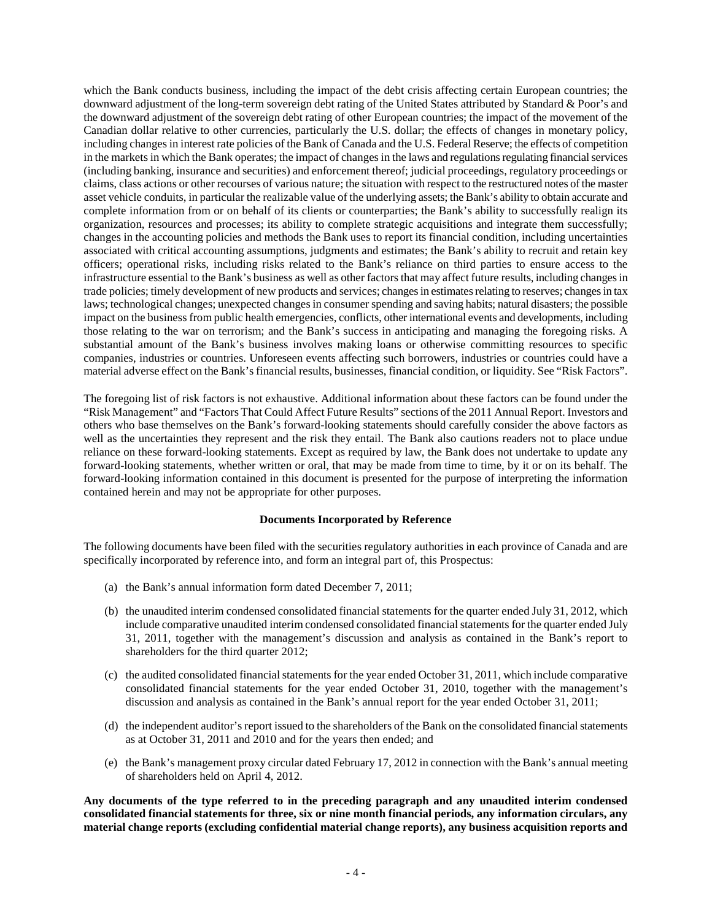which the Bank conducts business, including the impact of the debt crisis affecting certain European countries; the downward adjustment of the long-term sovereign debt rating of the United States attributed by Standard & Poor's and the downward adjustment of the sovereign debt rating of other European countries; the impact of the movement of the Canadian dollar relative to other currencies, particularly the U.S. dollar; the effects of changes in monetary policy, including changes in interest rate policies of the Bank of Canada and the U.S. Federal Reserve; the effects of competition in the markets in which the Bank operates; the impact of changes in the laws and regulations regulating financial services (including banking, insurance and securities) and enforcement thereof; judicial proceedings, regulatory proceedings or claims, class actions or other recourses of various nature; the situation with respect to the restructured notes of the master asset vehicle conduits, in particular the realizable value of the underlying assets; the Bank's ability to obtain accurate and complete information from or on behalf of its clients or counterparties; the Bank's ability to successfully realign its organization, resources and processes; its ability to complete strategic acquisitions and integrate them successfully; changes in the accounting policies and methods the Bank uses to report its financial condition, including uncertainties associated with critical accounting assumptions, judgments and estimates; the Bank's ability to recruit and retain key officers; operational risks, including risks related to the Bank's reliance on third parties to ensure access to the infrastructure essential to the Bank's business as well as other factors that may affect future results, including changes in trade policies; timely development of new products and services; changes in estimates relating to reserves; changes in tax laws; technological changes; unexpected changes in consumer spending and saving habits; natural disasters; the possible impact on the business from public health emergencies, conflicts, other international events and developments, including those relating to the war on terrorism; and the Bank's success in anticipating and managing the foregoing risks. A substantial amount of the Bank's business involves making loans or otherwise committing resources to specific companies, industries or countries. Unforeseen events affecting such borrowers, industries or countries could have a material adverse effect on the Bank's financial results, businesses, financial condition, or liquidity. See "Risk Factors".

The foregoing list of risk factors is not exhaustive. Additional information about these factors can be found under the "Risk Management" and "Factors That Could Affect Future Results" sections of the 2011 Annual Report. Investors and others who base themselves on the Bank's forward-looking statements should carefully consider the above factors as well as the uncertainties they represent and the risk they entail. The Bank also cautions readers not to place undue reliance on these forward-looking statements. Except as required by law, the Bank does not undertake to update any forward-looking statements, whether written or oral, that may be made from time to time, by it or on its behalf. The forward-looking information contained in this document is presented for the purpose of interpreting the information contained herein and may not be appropriate for other purposes.

#### <span id="page-3-0"></span>**Documents Incorporated by Reference**

The following documents have been filed with the securities regulatory authorities in each province of Canada and are specifically incorporated by reference into, and form an integral part of, this Prospectus:

- (a) the Bank's annual information form dated December 7, 2011;
- (b) the unaudited interim condensed consolidated financial statements for the quarter ended July 31, 2012, which include comparative unaudited interim condensed consolidated financial statements for the quarter ended July 31, 2011, together with the management's discussion and analysis as contained in the Bank's report to shareholders for the third quarter 2012;
- (c) the audited consolidated financial statements for the year ended October 31, 2011, which include comparative consolidated financial statements for the year ended October 31, 2010, together with the management's discussion and analysis as contained in the Bank's annual report for the year ended October 31, 2011;
- (d) the independent auditor's report issued to the shareholders of the Bank on the consolidated financial statements as at October 31, 2011 and 2010 and for the years then ended; and
- (e) the Bank's management proxy circular dated February 17, 2012 in connection with the Bank's annual meeting of shareholders held on April 4, 2012.

**Any documents of the type referred to in the preceding paragraph and any unaudited interim condensed consolidated financial statements for three, six or nine month financial periods, any information circulars, any material change reports (excluding confidential material change reports), any business acquisition reports and**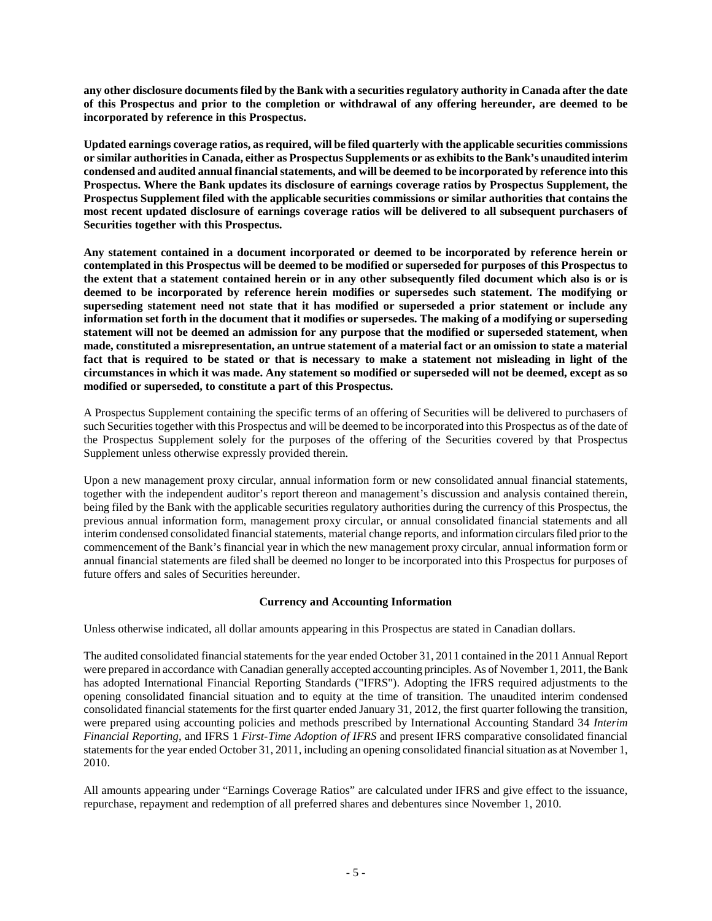**any other disclosure documents filed by the Bank with a securities regulatory authority in Canada after the date of this Prospectus and prior to the completion or withdrawal of any offering hereunder, are deemed to be incorporated by reference in this Prospectus.**

**Updated earnings coverage ratios, as required, will be filed quarterly with the applicable securities commissions or similar authorities in Canada, either as Prospectus Supplements or as exhibits to the Bank's unaudited interim condensed and audited annual financial statements, and will be deemed to be incorporated by reference into this Prospectus. Where the Bank updates its disclosure of earnings coverage ratios by Prospectus Supplement, the Prospectus Supplement filed with the applicable securities commissions or similar authorities that contains the most recent updated disclosure of earnings coverage ratios will be delivered to all subsequent purchasers of Securities together with this Prospectus.**

**Any statement contained in a document incorporated or deemed to be incorporated by reference herein or contemplated in this Prospectus will be deemed to be modified or superseded for purposes of this Prospectus to the extent that a statement contained herein or in any other subsequently filed document which also is or is deemed to be incorporated by reference herein modifies or supersedes such statement. The modifying or superseding statement need not state that it has modified or superseded a prior statement or include any information set forth in the document that it modifies or supersedes. The making of a modifying or superseding statement will not be deemed an admission for any purpose that the modified or superseded statement, when made, constituted a misrepresentation, an untrue statement of a material fact or an omission to state a material fact that is required to be stated or that is necessary to make a statement not misleading in light of the circumstances in which it was made. Any statement so modified or superseded will not be deemed, except as so modified or superseded, to constitute a part of this Prospectus.**

A Prospectus Supplement containing the specific terms of an offering of Securities will be delivered to purchasers of such Securities together with this Prospectus and will be deemed to be incorporated into this Prospectus as of the date of the Prospectus Supplement solely for the purposes of the offering of the Securities covered by that Prospectus Supplement unless otherwise expressly provided therein.

Upon a new management proxy circular, annual information form or new consolidated annual financial statements, together with the independent auditor's report thereon and management's discussion and analysis contained therein, being filed by the Bank with the applicable securities regulatory authorities during the currency of this Prospectus, the previous annual information form, management proxy circular, or annual consolidated financial statements and all interim condensed consolidated financial statements, material change reports, and information circulars filed prior to the commencement of the Bank's financial year in which the new management proxy circular, annual information form or annual financial statements are filed shall be deemed no longer to be incorporated into this Prospectus for purposes of future offers and sales of Securities hereunder.

# <span id="page-4-0"></span>**Currency and Accounting Information**

Unless otherwise indicated, all dollar amounts appearing in this Prospectus are stated in Canadian dollars.

The audited consolidated financial statements for the year ended October 31, 2011 contained in the 2011 Annual Report were prepared in accordance with Canadian generally accepted accounting principles. As of November 1, 2011, the Bank has adopted International Financial Reporting Standards ("IFRS"). Adopting the IFRS required adjustments to the opening consolidated financial situation and to equity at the time of transition. The unaudited interim condensed consolidated financial statements for the first quarter ended January 31, 2012, the first quarter following the transition, were prepared using accounting policies and methods prescribed by International Accounting Standard 34 *Interim Financial Reporting*, and IFRS 1 *First-Time Adoption of IFRS* and present IFRS comparative consolidated financial statements for the year ended October 31, 2011, including an opening consolidated financial situation as at November 1, 2010.

All amounts appearing under "Earnings Coverage Ratios" are calculated under IFRS and give effect to the issuance, repurchase, repayment and redemption of all preferred shares and debentures since November 1, 2010.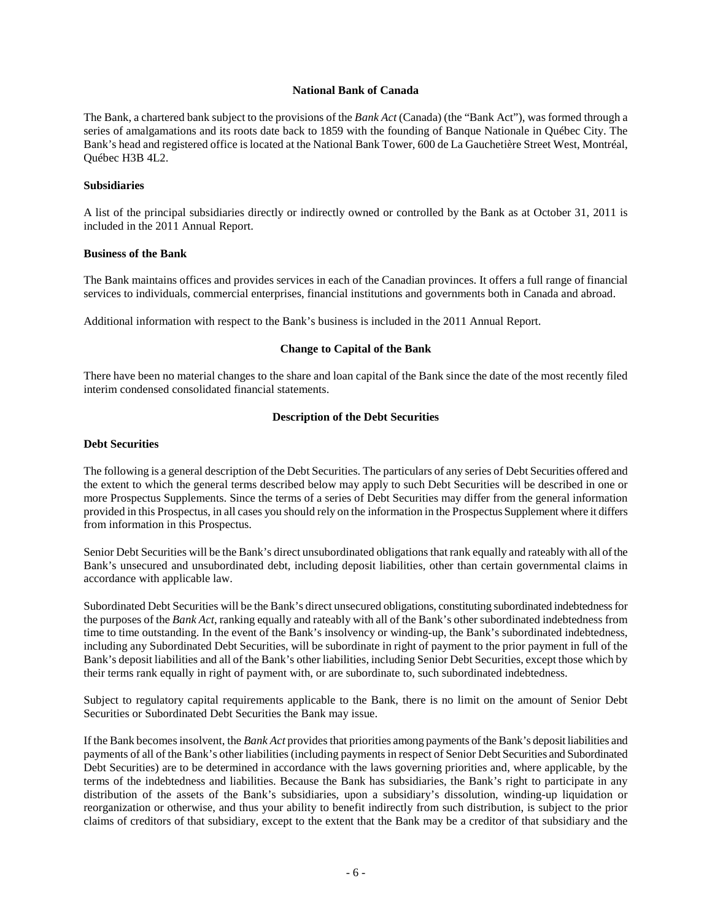### <span id="page-5-0"></span>**National Bank of Canada**

The Bank, a chartered bank subject to the provisions of the *Bank Act* (Canada) (the "Bank Act"), was formed through a series of amalgamations and its roots date back to 1859 with the founding of Banque Nationale in Québec City. The Bank's head and registered office is located at the National Bank Tower, 600 de La Gauchetière Street West, Montréal, Québec H3B 4L2.

#### **Subsidiaries**

A list of the principal subsidiaries directly or indirectly owned or controlled by the Bank as at October 31, 2011 is included in the 2011 Annual Report.

### **Business of the Bank**

The Bank maintains offices and provides services in each of the Canadian provinces. It offers a full range of financial services to individuals, commercial enterprises, financial institutions and governments both in Canada and abroad.

Additional information with respect to the Bank's business is included in the 2011 Annual Report.

### <span id="page-5-1"></span>**Change to Capital of the Bank**

There have been no material changes to the share and loan capital of the Bank since the date of the most recently filed interim condensed consolidated financial statements.

### <span id="page-5-2"></span>**Description of the Debt Securities**

### **Debt Securities**

The following is a general description of the Debt Securities. The particulars of any series of Debt Securities offered and the extent to which the general terms described below may apply to such Debt Securities will be described in one or more Prospectus Supplements. Since the terms of a series of Debt Securities may differ from the general information provided in this Prospectus, in all cases you should rely on the information in the Prospectus Supplement where it differs from information in this Prospectus.

Senior Debt Securities will be the Bank's direct unsubordinated obligations that rank equally and rateably with all of the Bank's unsecured and unsubordinated debt, including deposit liabilities, other than certain governmental claims in accordance with applicable law.

Subordinated Debt Securities will be the Bank's direct unsecured obligations, constituting subordinated indebtedness for the purposes of the *Bank Act*, ranking equally and rateably with all of the Bank's other subordinated indebtedness from time to time outstanding. In the event of the Bank's insolvency or winding-up, the Bank's subordinated indebtedness, including any Subordinated Debt Securities, will be subordinate in right of payment to the prior payment in full of the Bank's deposit liabilities and all of the Bank's other liabilities, including Senior Debt Securities, except those which by their terms rank equally in right of payment with, or are subordinate to, such subordinated indebtedness.

Subject to regulatory capital requirements applicable to the Bank, there is no limit on the amount of Senior Debt Securities or Subordinated Debt Securities the Bank may issue.

If the Bank becomes insolvent, the *Bank Act* provides that priorities among payments of the Bank's deposit liabilities and payments of all of the Bank's other liabilities (including payments in respect of Senior Debt Securities and Subordinated Debt Securities) are to be determined in accordance with the laws governing priorities and, where applicable, by the terms of the indebtedness and liabilities. Because the Bank has subsidiaries, the Bank's right to participate in any distribution of the assets of the Bank's subsidiaries, upon a subsidiary's dissolution, winding-up liquidation or reorganization or otherwise, and thus your ability to benefit indirectly from such distribution, is subject to the prior claims of creditors of that subsidiary, except to the extent that the Bank may be a creditor of that subsidiary and the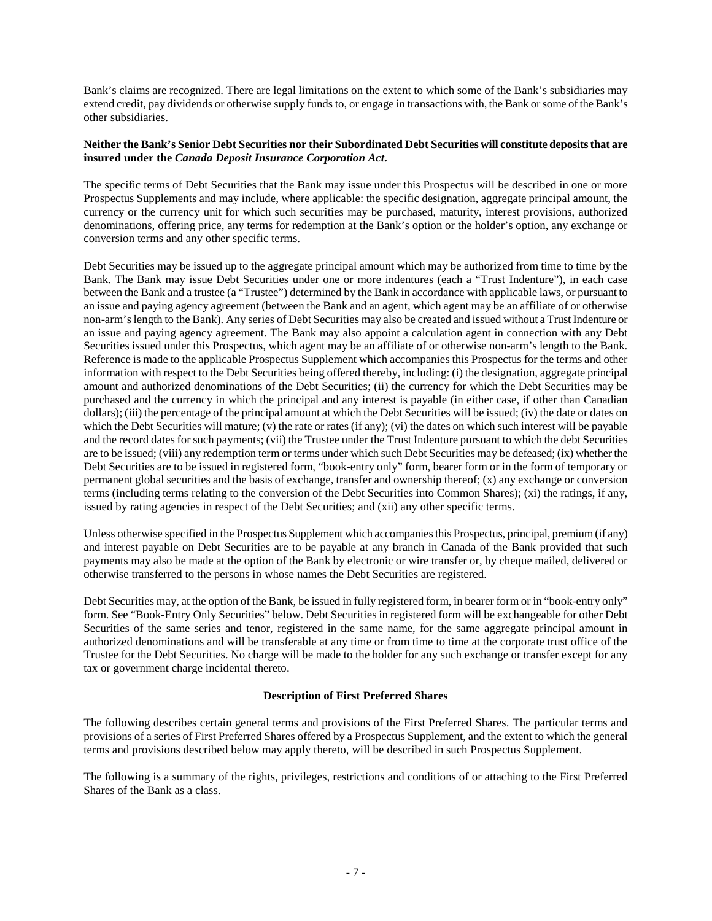Bank's claims are recognized. There are legal limitations on the extent to which some of the Bank's subsidiaries may extend credit, pay dividends or otherwise supply funds to, or engage in transactions with, the Bank or some of the Bank's other subsidiaries.

# **Neither the Bank's Senior Debt Securities nor their Subordinated Debt Securities will constitute deposits that are insured under the** *Canada Deposit Insurance Corporation Act***.**

The specific terms of Debt Securities that the Bank may issue under this Prospectus will be described in one or more Prospectus Supplements and may include, where applicable: the specific designation, aggregate principal amount, the currency or the currency unit for which such securities may be purchased, maturity, interest provisions, authorized denominations, offering price, any terms for redemption at the Bank's option or the holder's option, any exchange or conversion terms and any other specific terms.

Debt Securities may be issued up to the aggregate principal amount which may be authorized from time to time by the Bank. The Bank may issue Debt Securities under one or more indentures (each a "Trust Indenture"), in each case between the Bank and a trustee (a "Trustee") determined by the Bank in accordance with applicable laws, or pursuant to an issue and paying agency agreement (between the Bank and an agent, which agent may be an affiliate of or otherwise non-arm's length to the Bank). Any series of Debt Securities may also be created and issued without a Trust Indenture or an issue and paying agency agreement. The Bank may also appoint a calculation agent in connection with any Debt Securities issued under this Prospectus, which agent may be an affiliate of or otherwise non-arm's length to the Bank. Reference is made to the applicable Prospectus Supplement which accompanies this Prospectus for the terms and other information with respect to the Debt Securities being offered thereby, including: (i) the designation, aggregate principal amount and authorized denominations of the Debt Securities; (ii) the currency for which the Debt Securities may be purchased and the currency in which the principal and any interest is payable (in either case, if other than Canadian dollars); (iii) the percentage of the principal amount at which the Debt Securities will be issued; (iv) the date or dates on which the Debt Securities will mature; (v) the rate or rates (if any); (vi) the dates on which such interest will be payable and the record dates for such payments; (vii) the Trustee under the Trust Indenture pursuant to which the debt Securities are to be issued; (viii) any redemption term or terms under which such Debt Securities may be defeased; (ix) whether the Debt Securities are to be issued in registered form, "book-entry only" form, bearer form or in the form of temporary or permanent global securities and the basis of exchange, transfer and ownership thereof; (x) any exchange or conversion terms (including terms relating to the conversion of the Debt Securities into Common Shares); (xi) the ratings, if any, issued by rating agencies in respect of the Debt Securities; and (xii) any other specific terms.

Unless otherwise specified in the Prospectus Supplement which accompanies this Prospectus, principal, premium (if any) and interest payable on Debt Securities are to be payable at any branch in Canada of the Bank provided that such payments may also be made at the option of the Bank by electronic or wire transfer or, by cheque mailed, delivered or otherwise transferred to the persons in whose names the Debt Securities are registered.

Debt Securities may, at the option of the Bank, be issued in fully registered form, in bearer form or in "book-entry only" form. See "Book-Entry Only Securities" below. Debt Securities in registered form will be exchangeable for other Debt Securities of the same series and tenor, registered in the same name, for the same aggregate principal amount in authorized denominations and will be transferable at any time or from time to time at the corporate trust office of the Trustee for the Debt Securities. No charge will be made to the holder for any such exchange or transfer except for any tax or government charge incidental thereto.

# <span id="page-6-0"></span>**Description of First Preferred Shares**

The following describes certain general terms and provisions of the First Preferred Shares. The particular terms and provisions of a series of First Preferred Shares offered by a Prospectus Supplement, and the extent to which the general terms and provisions described below may apply thereto, will be described in such Prospectus Supplement.

The following is a summary of the rights, privileges, restrictions and conditions of or attaching to the First Preferred Shares of the Bank as a class.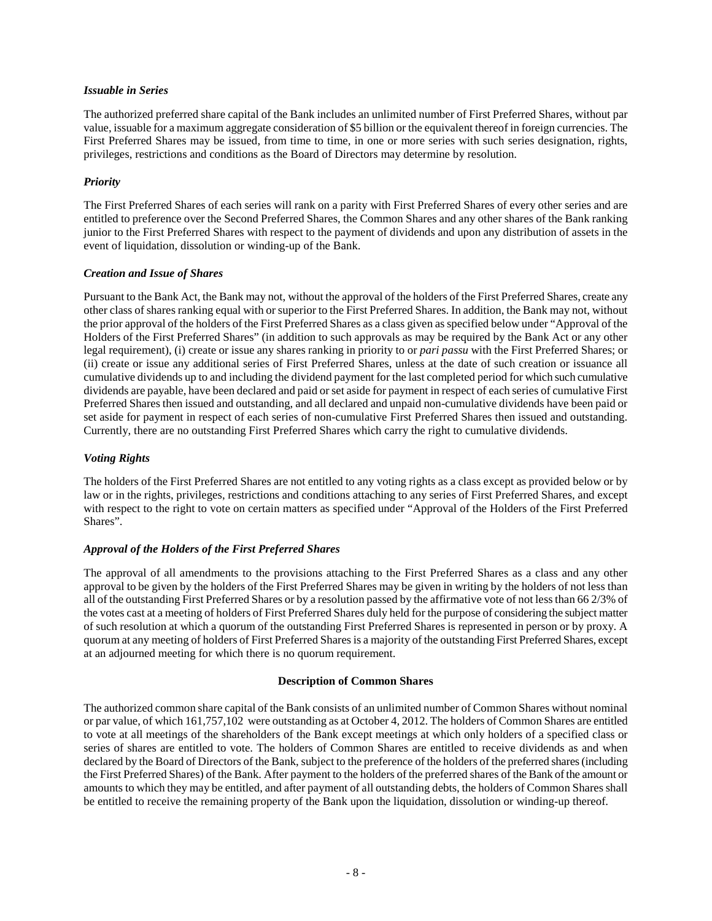#### *Issuable in Series*

The authorized preferred share capital of the Bank includes an unlimited number of First Preferred Shares, without par value, issuable for a maximum aggregate consideration of \$5 billion or the equivalent thereof in foreign currencies. The First Preferred Shares may be issued, from time to time, in one or more series with such series designation, rights, privileges, restrictions and conditions as the Board of Directors may determine by resolution.

# *Priority*

The First Preferred Shares of each series will rank on a parity with First Preferred Shares of every other series and are entitled to preference over the Second Preferred Shares, the Common Shares and any other shares of the Bank ranking junior to the First Preferred Shares with respect to the payment of dividends and upon any distribution of assets in the event of liquidation, dissolution or winding-up of the Bank.

### *Creation and Issue of Shares*

Pursuant to the Bank Act, the Bank may not, without the approval of the holders of the First Preferred Shares, create any other class of shares ranking equal with or superior to the First Preferred Shares. In addition, the Bank may not, without the prior approval of the holders of the First Preferred Shares as a class given as specified below under "Approval of the Holders of the First Preferred Shares" (in addition to such approvals as may be required by the Bank Act or any other legal requirement), (i) create or issue any shares ranking in priority to or *pari passu* with the First Preferred Shares; or (ii) create or issue any additional series of First Preferred Shares, unless at the date of such creation or issuance all cumulative dividends up to and including the dividend payment for the last completed period for which such cumulative dividends are payable, have been declared and paid or set aside for payment in respect of each series of cumulative First Preferred Shares then issued and outstanding, and all declared and unpaid non-cumulative dividends have been paid or set aside for payment in respect of each series of non-cumulative First Preferred Shares then issued and outstanding. Currently, there are no outstanding First Preferred Shares which carry the right to cumulative dividends.

# *Voting Rights*

The holders of the First Preferred Shares are not entitled to any voting rights as a class except as provided below or by law or in the rights, privileges, restrictions and conditions attaching to any series of First Preferred Shares, and except with respect to the right to vote on certain matters as specified under "Approval of the Holders of the First Preferred Shares".

# *Approval of the Holders of the First Preferred Shares*

The approval of all amendments to the provisions attaching to the First Preferred Shares as a class and any other approval to be given by the holders of the First Preferred Shares may be given in writing by the holders of not less than all of the outstanding First Preferred Shares or by a resolution passed by the affirmative vote of not less than 66 2/3% of the votes cast at a meeting of holders of First Preferred Shares duly held for the purpose of considering the subject matter of such resolution at which a quorum of the outstanding First Preferred Shares is represented in person or by proxy. A quorum at any meeting of holders of First Preferred Shares is a majority of the outstanding First Preferred Shares, except at an adjourned meeting for which there is no quorum requirement.

# <span id="page-7-0"></span>**Description of Common Shares**

The authorized common share capital of the Bank consists of an unlimited number of Common Shares without nominal or par value, of which 161,757,102 were outstanding as at October 4, 2012. The holders of Common Shares are entitled to vote at all meetings of the shareholders of the Bank except meetings at which only holders of a specified class or series of shares are entitled to vote. The holders of Common Shares are entitled to receive dividends as and when declared by the Board of Directors of the Bank, subject to the preference of the holders of the preferred shares (including the First Preferred Shares) of the Bank. After payment to the holders of the preferred shares of the Bank of the amount or amounts to which they may be entitled, and after payment of all outstanding debts, the holders of Common Shares shall be entitled to receive the remaining property of the Bank upon the liquidation, dissolution or winding-up thereof.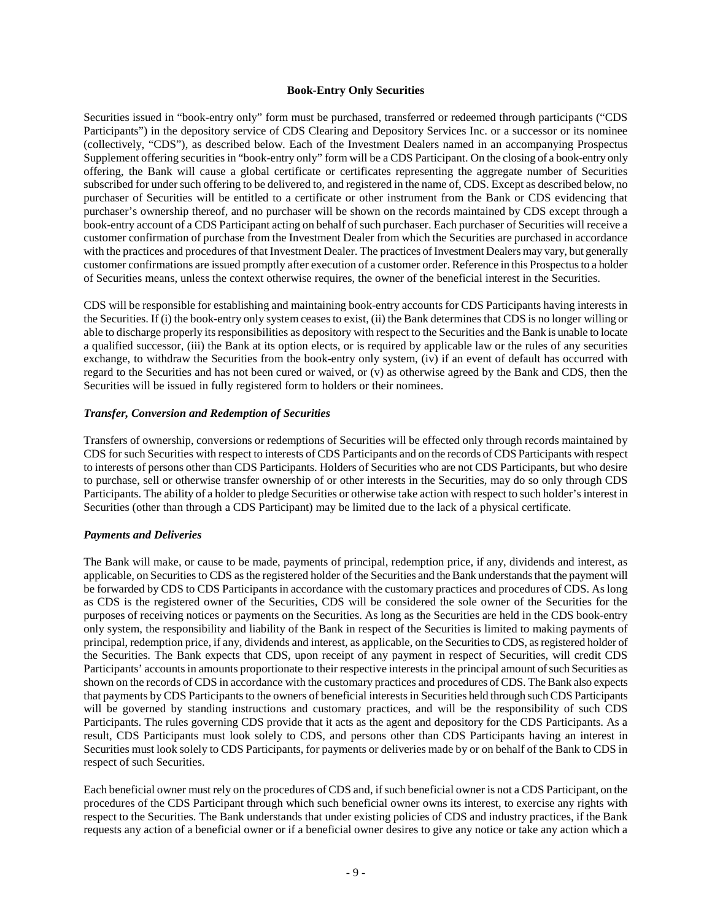#### <span id="page-8-0"></span>**Book-Entry Only Securities**

Securities issued in "book-entry only" form must be purchased, transferred or redeemed through participants ("CDS Participants") in the depository service of CDS Clearing and Depository Services Inc. or a successor or its nominee (collectively, "CDS"), as described below. Each of the Investment Dealers named in an accompanying Prospectus Supplement offering securities in "book-entry only" form will be a CDS Participant. On the closing of a book-entry only offering, the Bank will cause a global certificate or certificates representing the aggregate number of Securities subscribed for under such offering to be delivered to, and registered in the name of, CDS. Except as described below, no purchaser of Securities will be entitled to a certificate or other instrument from the Bank or CDS evidencing that purchaser's ownership thereof, and no purchaser will be shown on the records maintained by CDS except through a book-entry account of a CDS Participant acting on behalf of such purchaser. Each purchaser of Securities will receive a customer confirmation of purchase from the Investment Dealer from which the Securities are purchased in accordance with the practices and procedures of that Investment Dealer. The practices of Investment Dealers may vary, but generally customer confirmations are issued promptly after execution of a customer order. Reference in this Prospectus to a holder of Securities means, unless the context otherwise requires, the owner of the beneficial interest in the Securities.

CDS will be responsible for establishing and maintaining book-entry accounts for CDS Participants having interests in the Securities. If (i) the book-entry only system ceases to exist, (ii) the Bank determines that CDS is no longer willing or able to discharge properly its responsibilities as depository with respect to the Securities and the Bank is unable to locate a qualified successor, (iii) the Bank at its option elects, or is required by applicable law or the rules of any securities exchange, to withdraw the Securities from the book-entry only system, (iv) if an event of default has occurred with regard to the Securities and has not been cured or waived, or (v) as otherwise agreed by the Bank and CDS, then the Securities will be issued in fully registered form to holders or their nominees.

# *Transfer, Conversion and Redemption of Securities*

Transfers of ownership, conversions or redemptions of Securities will be effected only through records maintained by CDS for such Securities with respect to interests of CDS Participants and on the records of CDS Participants with respect to interests of persons other than CDS Participants. Holders of Securities who are not CDS Participants, but who desire to purchase, sell or otherwise transfer ownership of or other interests in the Securities, may do so only through CDS Participants. The ability of a holder to pledge Securities or otherwise take action with respect to such holder's interest in Securities (other than through a CDS Participant) may be limited due to the lack of a physical certificate.

# *Payments and Deliveries*

The Bank will make, or cause to be made, payments of principal, redemption price, if any, dividends and interest, as applicable, on Securities to CDS as the registered holder of the Securities and the Bank understands that the payment will be forwarded by CDS to CDS Participants in accordance with the customary practices and procedures of CDS. As long as CDS is the registered owner of the Securities, CDS will be considered the sole owner of the Securities for the purposes of receiving notices or payments on the Securities. As long as the Securities are held in the CDS book-entry only system, the responsibility and liability of the Bank in respect of the Securities is limited to making payments of principal, redemption price, if any, dividends and interest, as applicable, on the Securities to CDS, as registered holder of the Securities. The Bank expects that CDS, upon receipt of any payment in respect of Securities, will credit CDS Participants' accounts in amounts proportionate to their respective interests in the principal amount of such Securities as shown on the records of CDS in accordance with the customary practices and procedures of CDS. The Bank also expects that payments by CDS Participants to the owners of beneficial interests in Securities held through such CDS Participants will be governed by standing instructions and customary practices, and will be the responsibility of such CDS Participants. The rules governing CDS provide that it acts as the agent and depository for the CDS Participants. As a result, CDS Participants must look solely to CDS, and persons other than CDS Participants having an interest in Securities must look solely to CDS Participants, for payments or deliveries made by or on behalf of the Bank to CDS in respect of such Securities.

Each beneficial owner must rely on the procedures of CDS and, if such beneficial owner is not a CDS Participant, on the procedures of the CDS Participant through which such beneficial owner owns its interest, to exercise any rights with respect to the Securities. The Bank understands that under existing policies of CDS and industry practices, if the Bank requests any action of a beneficial owner or if a beneficial owner desires to give any notice or take any action which a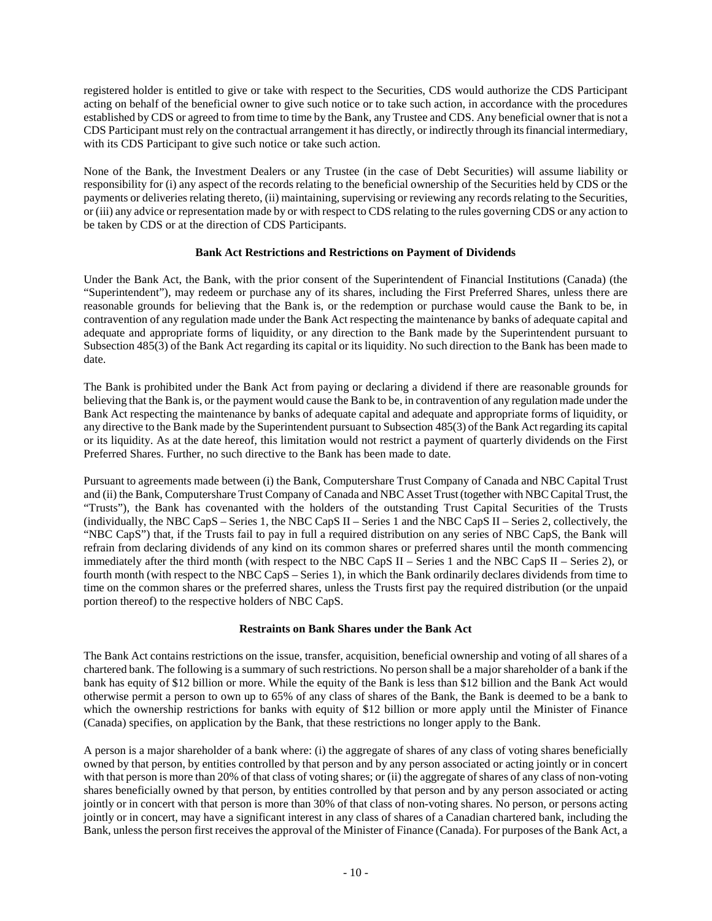registered holder is entitled to give or take with respect to the Securities, CDS would authorize the CDS Participant acting on behalf of the beneficial owner to give such notice or to take such action, in accordance with the procedures established by CDS or agreed to from time to time by the Bank, any Trustee and CDS. Any beneficial owner that is not a CDS Participant must rely on the contractual arrangement it has directly, or indirectly through its financial intermediary, with its CDS Participant to give such notice or take such action.

None of the Bank, the Investment Dealers or any Trustee (in the case of Debt Securities) will assume liability or responsibility for (i) any aspect of the records relating to the beneficial ownership of the Securities held by CDS or the payments or deliveries relating thereto, (ii) maintaining, supervising or reviewing any records relating to the Securities, or (iii) any advice or representation made by or with respect to CDS relating to the rules governing CDS or any action to be taken by CDS or at the direction of CDS Participants.

# <span id="page-9-0"></span>**Bank Act Restrictions and Restrictions on Payment of Dividends**

Under the Bank Act, the Bank, with the prior consent of the Superintendent of Financial Institutions (Canada) (the "Superintendent"), may redeem or purchase any of its shares, including the First Preferred Shares, unless there are reasonable grounds for believing that the Bank is, or the redemption or purchase would cause the Bank to be, in contravention of any regulation made under the Bank Act respecting the maintenance by banks of adequate capital and adequate and appropriate forms of liquidity, or any direction to the Bank made by the Superintendent pursuant to Subsection 485(3) of the Bank Act regarding its capital or its liquidity. No such direction to the Bank has been made to date.

The Bank is prohibited under the Bank Act from paying or declaring a dividend if there are reasonable grounds for believing that the Bank is, or the payment would cause the Bank to be, in contravention of any regulation made under the Bank Act respecting the maintenance by banks of adequate capital and adequate and appropriate forms of liquidity, or any directive to the Bank made by the Superintendent pursuant to Subsection 485(3) of the Bank Act regarding its capital or its liquidity. As at the date hereof, this limitation would not restrict a payment of quarterly dividends on the First Preferred Shares. Further, no such directive to the Bank has been made to date.

Pursuant to agreements made between (i) the Bank, Computershare Trust Company of Canada and NBC Capital Trust and (ii) the Bank, Computershare Trust Company of Canada and NBC Asset Trust (together with NBC Capital Trust, the "Trusts"), the Bank has covenanted with the holders of the outstanding Trust Capital Securities of the Trusts (individually, the NBC CapS – Series 1, the NBC CapS II – Series 1 and the NBC CapS II – Series 2, collectively, the "NBC CapS") that, if the Trusts fail to pay in full a required distribution on any series of NBC CapS, the Bank will refrain from declaring dividends of any kind on its common shares or preferred shares until the month commencing immediately after the third month (with respect to the NBC CapS II – Series 1 and the NBC CapS II – Series 2), or fourth month (with respect to the NBC CapS – Series 1), in which the Bank ordinarily declares dividends from time to time on the common shares or the preferred shares, unless the Trusts first pay the required distribution (or the unpaid portion thereof) to the respective holders of NBC CapS.

# <span id="page-9-1"></span>**Restraints on Bank Shares under the Bank Act**

The Bank Act contains restrictions on the issue, transfer, acquisition, beneficial ownership and voting of all shares of a chartered bank. The following is a summary of such restrictions. No person shall be a major shareholder of a bank if the bank has equity of \$12 billion or more. While the equity of the Bank is less than \$12 billion and the Bank Act would otherwise permit a person to own up to 65% of any class of shares of the Bank, the Bank is deemed to be a bank to which the ownership restrictions for banks with equity of \$12 billion or more apply until the Minister of Finance (Canada) specifies, on application by the Bank, that these restrictions no longer apply to the Bank.

A person is a major shareholder of a bank where: (i) the aggregate of shares of any class of voting shares beneficially owned by that person, by entities controlled by that person and by any person associated or acting jointly or in concert with that person is more than 20% of that class of voting shares; or (ii) the aggregate of shares of any class of non-voting shares beneficially owned by that person, by entities controlled by that person and by any person associated or acting jointly or in concert with that person is more than 30% of that class of non-voting shares. No person, or persons acting jointly or in concert, may have a significant interest in any class of shares of a Canadian chartered bank, including the Bank, unless the person first receives the approval of the Minister of Finance (Canada). For purposes of the Bank Act, a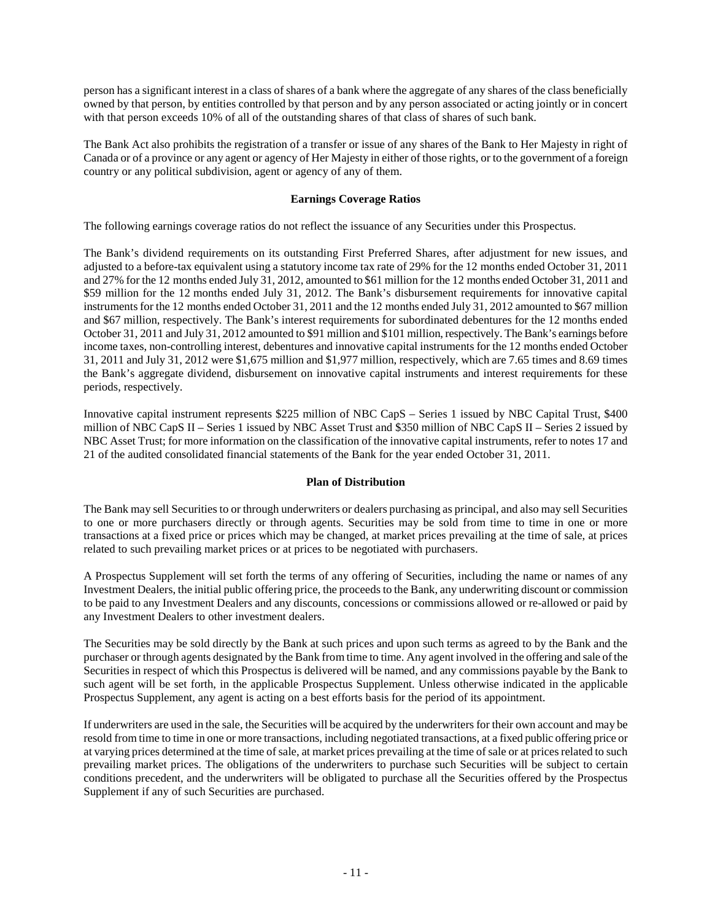person has a significant interest in a class of shares of a bank where the aggregate of any shares of the class beneficially owned by that person, by entities controlled by that person and by any person associated or acting jointly or in concert with that person exceeds 10% of all of the outstanding shares of that class of shares of such bank.

The Bank Act also prohibits the registration of a transfer or issue of any shares of the Bank to Her Majesty in right of Canada or of a province or any agent or agency of Her Majesty in either of those rights, or to the government of a foreign country or any political subdivision, agent or agency of any of them.

# <span id="page-10-0"></span>**Earnings Coverage Ratios**

The following earnings coverage ratios do not reflect the issuance of any Securities under this Prospectus.

The Bank's dividend requirements on its outstanding First Preferred Shares, after adjustment for new issues, and adjusted to a before-tax equivalent using a statutory income tax rate of 29% for the 12 months ended October 31, 2011 and 27% for the 12 months ended July 31, 2012, amounted to \$61 million for the 12 months ended October 31, 2011 and \$59 million for the 12 months ended July 31, 2012. The Bank's disbursement requirements for innovative capital instruments for the 12 months ended October 31, 2011 and the 12 months ended July 31, 2012 amounted to \$67 million and \$67 million, respectively. The Bank's interest requirements for subordinated debentures for the 12 months ended October 31, 2011 and July 31, 2012 amounted to \$91 million and \$101 million, respectively. The Bank's earnings before income taxes, non-controlling interest, debentures and innovative capital instruments for the 12 months ended October 31, 2011 and July 31, 2012 were \$1,675 million and \$1,977 million, respectively, which are 7.65 times and 8.69 times the Bank's aggregate dividend, disbursement on innovative capital instruments and interest requirements for these periods, respectively.

Innovative capital instrument represents \$225 million of NBC CapS – Series 1 issued by NBC Capital Trust, \$400 million of NBC CapS II – Series 1 issued by NBC Asset Trust and \$350 million of NBC CapS II – Series 2 issued by NBC Asset Trust; for more information on the classification of the innovative capital instruments, refer to notes 17 and 21 of the audited consolidated financial statements of the Bank for the year ended October 31, 2011.

# <span id="page-10-1"></span>**Plan of Distribution**

The Bank may sell Securities to or through underwriters or dealers purchasing as principal, and also may sell Securities to one or more purchasers directly or through agents. Securities may be sold from time to time in one or more transactions at a fixed price or prices which may be changed, at market prices prevailing at the time of sale, at prices related to such prevailing market prices or at prices to be negotiated with purchasers.

A Prospectus Supplement will set forth the terms of any offering of Securities, including the name or names of any Investment Dealers, the initial public offering price, the proceeds to the Bank, any underwriting discount or commission to be paid to any Investment Dealers and any discounts, concessions or commissions allowed or re-allowed or paid by any Investment Dealers to other investment dealers.

The Securities may be sold directly by the Bank at such prices and upon such terms as agreed to by the Bank and the purchaser or through agents designated by the Bank from time to time. Any agent involved in the offering and sale of the Securities in respect of which this Prospectus is delivered will be named, and any commissions payable by the Bank to such agent will be set forth, in the applicable Prospectus Supplement. Unless otherwise indicated in the applicable Prospectus Supplement, any agent is acting on a best efforts basis for the period of its appointment.

If underwriters are used in the sale, the Securities will be acquired by the underwriters for their own account and may be resold from time to time in one or more transactions, including negotiated transactions, at a fixed public offering price or at varying prices determined at the time of sale, at market prices prevailing at the time of sale or at prices related to such prevailing market prices. The obligations of the underwriters to purchase such Securities will be subject to certain conditions precedent, and the underwriters will be obligated to purchase all the Securities offered by the Prospectus Supplement if any of such Securities are purchased.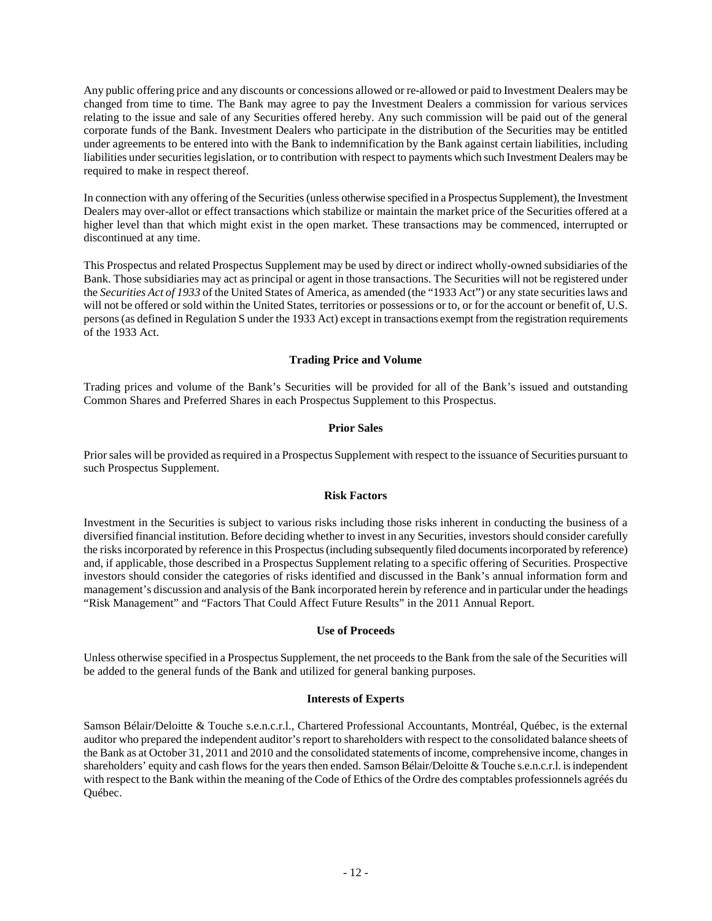Any public offering price and any discounts or concessions allowed or re-allowed or paid to Investment Dealers may be changed from time to time. The Bank may agree to pay the Investment Dealers a commission for various services relating to the issue and sale of any Securities offered hereby. Any such commission will be paid out of the general corporate funds of the Bank. Investment Dealers who participate in the distribution of the Securities may be entitled under agreements to be entered into with the Bank to indemnification by the Bank against certain liabilities, including liabilities under securities legislation, or to contribution with respect to payments which such Investment Dealers may be required to make in respect thereof.

In connection with any offering of the Securities (unless otherwise specified in a Prospectus Supplement), the Investment Dealers may over-allot or effect transactions which stabilize or maintain the market price of the Securities offered at a higher level than that which might exist in the open market. These transactions may be commenced, interrupted or discontinued at any time.

This Prospectus and related Prospectus Supplement may be used by direct or indirect wholly-owned subsidiaries of the Bank. Those subsidiaries may act as principal or agent in those transactions. The Securities will not be registered under the *Securities Act of 1933* of the United States of America, as amended (the "1933 Act") or any state securities laws and will not be offered or sold within the United States, territories or possessions or to, or for the account or benefit of, U.S. persons (as defined in Regulation S under the 1933 Act) except in transactions exempt from the registration requirements of the 1933 Act.

### <span id="page-11-0"></span>**Trading Price and Volume**

Trading prices and volume of the Bank's Securities will be provided for all of the Bank's issued and outstanding Common Shares and Preferred Shares in each Prospectus Supplement to this Prospectus.

### <span id="page-11-1"></span>**Prior Sales**

Prior sales will be provided as required in a Prospectus Supplement with respect to the issuance of Securities pursuant to such Prospectus Supplement.

#### <span id="page-11-2"></span>**Risk Factors**

Investment in the Securities is subject to various risks including those risks inherent in conducting the business of a diversified financial institution. Before deciding whether to invest in any Securities, investors should consider carefully the risks incorporated by reference in this Prospectus (including subsequently filed documents incorporated by reference) and, if applicable, those described in a Prospectus Supplement relating to a specific offering of Securities. Prospective investors should consider the categories of risks identified and discussed in the Bank's annual information form and management's discussion and analysis of the Bank incorporated herein by reference and in particular under the headings "Risk Management" and "Factors That Could Affect Future Results" in the 2011 Annual Report.

#### <span id="page-11-3"></span>**Use of Proceeds**

Unless otherwise specified in a Prospectus Supplement, the net proceeds to the Bank from the sale of the Securities will be added to the general funds of the Bank and utilized for general banking purposes.

#### <span id="page-11-4"></span>**Interests of Experts**

Samson Bélair/Deloitte & Touche s.e.n.c.r.l., Chartered Professional Accountants, Montréal, Québec, is the external auditor who prepared the independent auditor's report to shareholders with respect to the consolidated balance sheets of the Bank as at October 31, 2011 and 2010 and the consolidated statements of income, comprehensive income, changes in shareholders' equity and cash flows for the years then ended. Samson Bélair/Deloitte & Touche s.e.n.c.r.l. is independent with respect to the Bank within the meaning of the Code of Ethics of the Ordre des comptables professionnels agréés du Québec.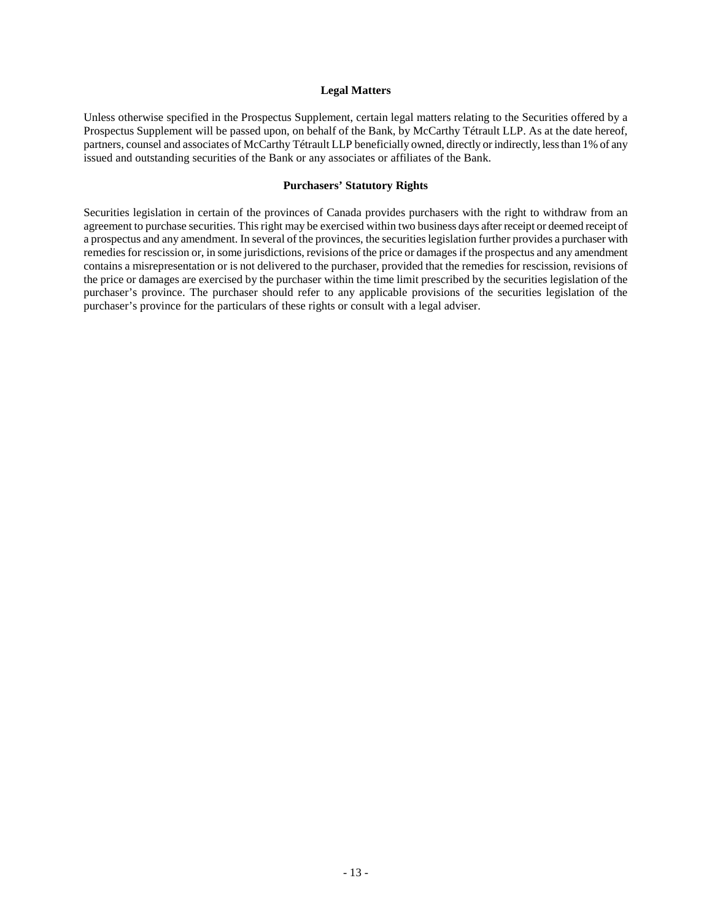### <span id="page-12-0"></span>**Legal Matters**

Unless otherwise specified in the Prospectus Supplement, certain legal matters relating to the Securities offered by a Prospectus Supplement will be passed upon, on behalf of the Bank, by McCarthy Tétrault LLP. As at the date hereof, partners, counsel and associates of McCarthy Tétrault LLP beneficially owned, directly or indirectly, less than 1% of any issued and outstanding securities of the Bank or any associates or affiliates of the Bank.

### <span id="page-12-1"></span>**Purchasers' Statutory Rights**

Securities legislation in certain of the provinces of Canada provides purchasers with the right to withdraw from an agreement to purchase securities. This right may be exercised within two business days after receipt or deemed receipt of a prospectus and any amendment. In several of the provinces, the securities legislation further provides a purchaser with remedies for rescission or, in some jurisdictions, revisions of the price or damages if the prospectus and any amendment contains a misrepresentation or is not delivered to the purchaser, provided that the remedies for rescission, revisions of the price or damages are exercised by the purchaser within the time limit prescribed by the securities legislation of the purchaser's province. The purchaser should refer to any applicable provisions of the securities legislation of the purchaser's province for the particulars of these rights or consult with a legal adviser.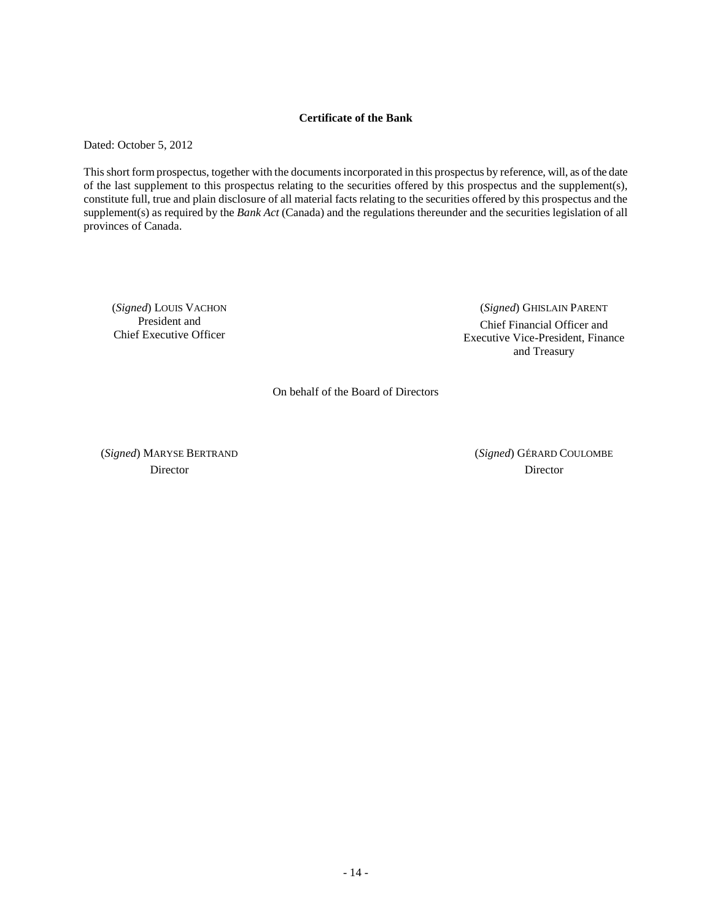# <span id="page-13-0"></span>**Certificate of the Bank**

Dated: October 5, 2012

This short form prospectus, together with the documents incorporated in this prospectus by reference, will, as of the date of the last supplement to this prospectus relating to the securities offered by this prospectus and the supplement(s), constitute full, true and plain disclosure of all material facts relating to the securities offered by this prospectus and the supplement(s) as required by the *Bank Act* (Canada) and the regulations thereunder and the securities legislation of all provinces of Canada.

(*Signed*) LOUIS VACHON President and Chief Executive Officer

(*Signed*) GHISLAIN PARENT Chief Financial Officer and Executive Vice-President, Finance and Treasury

On behalf of the Board of Directors

(*Signed*) MARYSE BERTRAND **Director** 

(*Signed*) GÉRARD COULOMBE Director